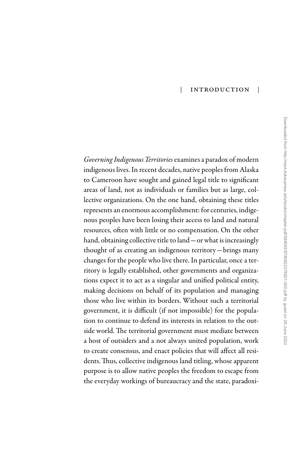#### | Introduction |

*Governing Indigenous Territories* examines a paradox of modern indigenous lives. In recent decades, native peoples from Alaska to Cameroon have sought and gained legal title to significant areas of land, not as individuals or families but as large, collective organizations. On the one hand, obtaining these titles represents an enormous accomplishment: for centuries, indigenous peoples have been losing their access to land and natural resources, often with little or no compensation. On the other hand, obtaining collective title to land—or what is increasingly thought of as creating an indigenous territory—brings many changes for the people who live there. In particular, once a territory is legally established, other governments and organizations expect it to act as a singular and unified political entity, making decisions on behalf of its population and managing those who live within its borders. Without such a territorial government, it is difficult (if not impossible) for the population to continue to defend its interests in relation to the outside world. The territorial government must mediate between a host of outsiders and a not always united population, work to create consensus, and enact policies that will affect all residents. Thus, collective indigenous land titling, whose apparent purpose is to allow native peoples the freedom to escape from the everyday workings of bureaucracy and the state, paradoxi-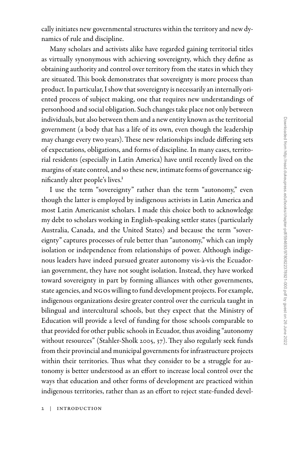cally initiates new governmental structures within the territory and new dynamics of rule and discipline.

Many scholars and activists alike have regarded gaining territorial titles as virtually synonymous with achieving sovereignty, which they define as obtaining authority and control over territory from the states in which they are situated. This book demonstrates that sovereignty is more process than product. In particular, I show that sovereignty is necessarily an internally oriented process of subject making, one that requires new understandings of personhood and social obligation. Such changes take place not only between individuals, but also between them and a new entity known as the territorial government (a body that has a life of its own, even though the leadership may change every two years). These new relationships include differing sets of expectations, obligations, and forms of discipline. In many cases, territorial residents (especially in Latin America) have until recently lived on the margins of state control, and so these new, intimate forms of governance significantly alter people's lives.<sup>1</sup>

I use the term "sovereignty" rather than the term "autonomy," even though the latter is employed by indigenous activists in Latin America and most Latin Americanist scholars. I made this choice both to acknowledge my debt to scholars working in English-speaking settler states (particularly Australia, Canada, and the United States) and because the term "sovereignty" captures processes of rule better than "autonomy," which can imply isolation or independence from relationships of power. Although indigenous leaders have indeed pursued greater autonomy vis-à-vis the Ecuadorian government, they have not sought isolation. Instead, they have worked toward sovereignty in part by forming alliances with other governments, state agencies, and NGOs willing to fund development projects. For example, indigenous organizations desire greater control over the curricula taught in bilingual and intercultural schools, but they expect that the Ministry of Education will provide a level of funding for those schools comparable to that provided for other public schools in Ecuador, thus avoiding "autonomy without resources" (Stahler-Sholk 2005, 37). They also regularly seek funds from their provincial and municipal governments for infrastructure projects within their territories. Thus what they consider to be a struggle for autonomy is better understood as an effort to increase local control over the ways that education and other forms of development are practiced within indigenous territories, rather than as an effort to reject state-funded devel-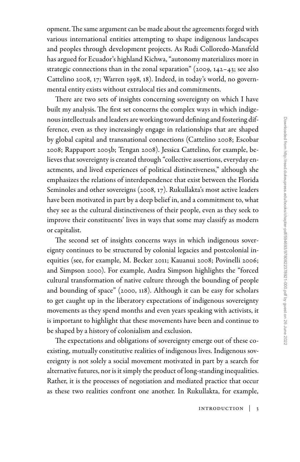opment. The same argument can be made about the agreements forged with various international entities attempting to shape indigenous landscapes and peoples through development projects. As Rudi Colloredo-Mansfeld has argued for Ecuador's highland Kichwa, "autonomy materializes more in strategic connections than in the zonal separation" (2009, 142–43; see also Cattelino 2008, 17; Warren 1998, 18). Indeed, in today's world, no governmental entity exists without extralocal ties and commitments.

There are two sets of insights concerning sovereignty on which I have built my analysis. The first set concerns the complex ways in which indigenous intellectuals and leaders are working toward defining and fostering difference, even as they increasingly engage in relationships that are shaped by global capital and transnational connections (Cattelino 2008; Escobar 2008; Rappaport 2005b; Tengan 2008). Jessica Cattelino, for example, believes that sovereignty is created through "collective assertions, everyday enactments, and lived experiences of political distinctiveness," although she emphasizes the relations of interdependence that exist between the Florida Seminoles and other sovereigns (2008, 17). Rukullakta's most active leaders have been motivated in part by a deep belief in, and a commitment to, what they see as the cultural distinctiveness of their people, even as they seek to improve their constituents' lives in ways that some may classify as modern or capitalist.

The second set of insights concerns ways in which indigenous sovereignty continues to be structured by colonial legacies and postcolonial inequities (see, for example, M. Becker 2011; Kauanui 2008; Povinelli 2006; and Simpson 2000). For example, Audra Simpson highlights the "forced cultural transformation of native culture through the bounding of people and bounding of space" (2000, 118). Although it can be easy for scholars to get caught up in the liberatory expectations of indigenous sovereignty movements as they spend months and even years speaking with activists, it is important to highlight that these movements have been and continue to be shaped by a history of colonialism and exclusion.

The expectations and obligations of sovereignty emerge out of these coexisting, mutually constitutive realities of indigenous lives. Indigenous sovereignty is not solely a social movement motivated in part by a search for alternative futures, nor is it simply the product of long-standing inequalities. Rather, it is the processes of negotiation and mediated practice that occur as these two realities confront one another. In Rukullakta, for example,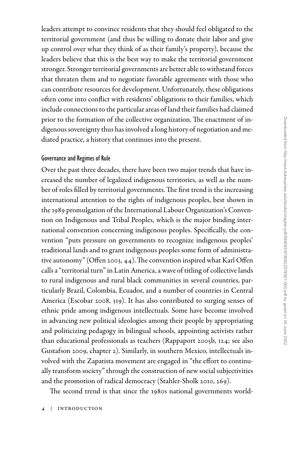leaders attempt to convince residents that they should feel obligated to the territorial government (and thus be willing to donate their labor and give up control over what they think of as their family's property), because the leaders believe that this is the best way to make the territorial government stronger. Stronger territorial governments are better able to withstand forces that threaten them and to negotiate favorable agreements with those who can contribute resources for development. Unfortunately, these obligations often come into conflict with residents' obligations to their families, which include connections to the particular areas of land their families had claimed prior to the formation of the collective organization. The enactment of indigenous sovereignty thus has involved a long history of negotiation and mediated practice, a history that continues into the present.

### Governance and Regimes of Rule

Over the past three decades, there have been two major trends that have increased the number of legalized indigenous territories, as well as the number of roles filled by territorial governments. The first trend is the increasing international attention to the rights of indigenous peoples, best shown in the 1989 promulgation of the International Labour Organization's Convention on Indigenous and Tribal Peoples, which is the major binding international convention concerning indigenous peoples. Specifically, the convention "puts pressure on governments to recognize indigenous peoples' traditional lands and to grant indigenous peoples some form of administrative autonomy" (Offen 2003, 44). The convention inspired what Karl Offen calls a "territorial turn" in Latin America, a wave of titling of collective lands to rural indigenous and rural black communities in several countries, particularly Brazil, Colombia, Ecuador, and a number of countries in Central America (Escobar 2008, 319). It has also contributed to surging senses of ethnic pride among indigenous intellectuals. Some have become involved in advancing new political ideologies among their people by appropriating and politicizing pedagogy in bilingual schools, appointing activists rather than educational professionals as teachers (Rappaport 2005b, 124; see also Gustafson 2009, chapter 2). Similarly, in southern Mexico, intellectuals involved with the Zapatista movement are engaged in "the effort to continually transform society" through the construction of new social subjectivities and the promotion of radical democracy (Stahler-Sholk 2010, 269).

The second trend is that since the 1980s national governments world-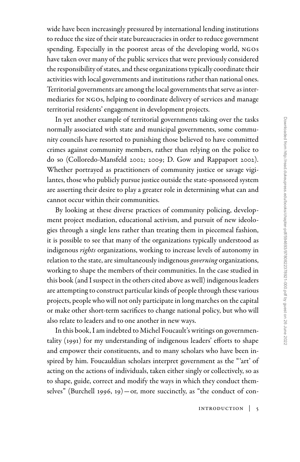wide have been increasingly pressured by international lending institutions to reduce the size of their state bureaucracies in order to reduce government spending. Especially in the poorest areas of the developing world, NGOs have taken over many of the public services that were previously considered the responsibility of states, and these organizations typically coordinate their activities with local governments and institutions rather than national ones. Territorial governments are among the local governments that serve as intermediaries for ngos, helping to coordinate delivery of services and manage territorial residents' engagement in development projects.

In yet another example of territorial governments taking over the tasks normally associated with state and municipal governments, some community councils have resorted to punishing those believed to have committed crimes against community members, rather than relying on the police to do so (Colloredo-Mansfeld 2002; 2009; D. Gow and Rappaport 2002). Whether portrayed as practitioners of community justice or savage vigilantes, those who publicly pursue justice outside the state-sponsored system are asserting their desire to play a greater role in determining what can and cannot occur within their communities.

By looking at these diverse practices of community policing, development project mediation, educational activism, and pursuit of new ideologies through a single lens rather than treating them in piecemeal fashion, it is possible to see that many of the organizations typically understood as indigenous *rights* organizations, working to increase levels of autonomy in relation to the state, are simultaneously indigenous *governing* organizations, working to shape the members of their communities. In the case studied in this book (and I suspect in the others cited above as well) indigenous leaders are attempting to construct particular kinds of people through these various projects, people who will not only participate in long marches on the capital or make other short-term sacrifices to change national policy, but who will also relate to leaders and to one another in new ways.

In this book, I am indebted to Michel Foucault's writings on governmentality (1991) for my understanding of indigenous leaders' efforts to shape and empower their constituents, and to many scholars who have been inspired by him. Foucauldian scholars interpret government as the "'art' of acting on the actions of individuals, taken either singly or collectively, so as to shape, guide, correct and modify the ways in which they conduct themselves" (Burchell 1996, 19) — or, more succinctly, as "the conduct of con-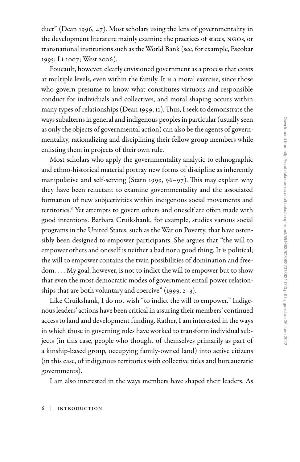duct" (Dean 1996, 47). Most scholars using the lens of governmentality in the development literature mainly examine the practices of states, ngos, or transnational institutions such as the World Bank (see, for example, Escobar 1995; Li 2007; West 2006).

Foucault, however, clearly envisioned government as a process that exists at multiple levels, even within the family. It is a moral exercise, since those who govern presume to know what constitutes virtuous and responsible conduct for individuals and collectives, and moral shaping occurs within many types of relationships (Dean 1999, 11). Thus, I seek to demonstrate the ways subalterns in general and indigenous peoples in particular (usually seen as only the objects of governmental action) can also be the agents of governmentality, rationalizing and disciplining their fellow group members while enlisting them in projects of their own rule.

Most scholars who apply the governmentality analytic to ethnographic and ethno-historical material portray new forms of discipline as inherently manipulative and self-serving (Starn 1999, 96–97). This may explain why they have been reluctant to examine governmentality and the associated formation of new subjectivities within indigenous social movements and territories.<sup>2</sup> Yet attempts to govern others and oneself are often made with good intentions. Barbara Cruikshank, for example, studies various social programs in the United States, such as the War on Poverty, that have ostensibly been designed to empower participants. She argues that "the will to empower others and oneself is neither a bad nor a good thing. It is political; the will to empower contains the twin possibilities of domination and freedom. . . . My goal, however, is not to indict the will to empower but to show that even the most democratic modes of government entail power relationships that are both voluntary and coercive"  $(1999, 2-3)$ .

Like Cruikshank, I do not wish "to indict the will to empower." Indigenous leaders' actions have been critical in assuring their members' continued access to land and development funding. Rather, I am interested in the ways in which those in governing roles have worked to transform individual subjects (in this case, people who thought of themselves primarily as part of a kinship-based group, occupying family-owned land) into active citizens (in this case, of indigenous territories with collective titles and bureaucratic governments).

I am also interested in the ways members have shaped their leaders. As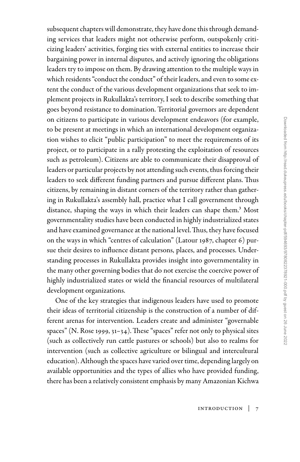subsequent chapters will demonstrate, they have done this through demanding services that leaders might not otherwise perform, outspokenly criticizing leaders' activities, forging ties with external entities to increase their bargaining power in internal disputes, and actively ignoring the obligations leaders try to impose on them. By drawing attention to the multiple ways in which residents "conduct the conduct" of their leaders, and even to some extent the conduct of the various development organizations that seek to implement projects in Rukullakta's territory, I seek to describe something that goes beyond resistance to domination. Territorial governors are dependent on citizens to participate in various development endeavors (for example, to be present at meetings in which an international development organization wishes to elicit "public participation" to meet the requirements of its project, or to participate in a rally protesting the exploitation of resources such as petroleum). Citizens are able to communicate their disapproval of leaders or particular projects by not attending such events, thus forcing their leaders to seek different funding partners and pursue different plans. Thus citizens, by remaining in distant corners of the territory rather than gathering in Rukullakta's assembly hall, practice what I call government through distance, shaping the ways in which their leaders can shape them.<sup>3</sup> Most governmentality studies have been conducted in highly industrialized states and have examined governance at the national level. Thus, they have focused on the ways in which "centres of calculation" (Latour 1987, chapter 6) pursue their desires to influence distant persons, places, and processes. Understanding processes in Rukullakta provides insight into governmentality in the many other governing bodies that do not exercise the coercive power of highly industrialized states or wield the financial resources of multilateral development organizations.

One of the key strategies that indigenous leaders have used to promote their ideas of territorial citizenship is the construction of a number of different arenas for intervention. Leaders create and administer "governable spaces" (N. Rose 1999, 31–34). These "spaces" refer not only to physical sites (such as collectively run cattle pastures or schools) but also to realms for intervention (such as collective agriculture or bilingual and intercultural education). Although the spaces have varied over time, depending largely on available opportunities and the types of allies who have provided funding, there has been a relatively consistent emphasis by many Amazonian Kichwa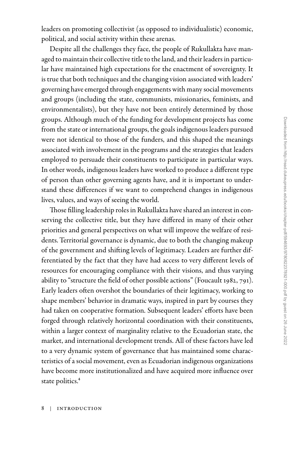leaders on promoting collectivist (as opposed to individualistic) economic, political, and social activity within these arenas.

Despite all the challenges they face, the people of Rukullakta have managed to maintain their collective title to the land, and their leaders in particular have maintained high expectations for the enactment of sovereignty. It is true that both techniques and the changing vision associated with leaders' governing have emerged through engagements with many social movements and groups (including the state, communists, missionaries, feminists, and environmentalists), but they have not been entirely determined by those groups. Although much of the funding for development projects has come from the state or international groups, the goals indigenous leaders pursued were not identical to those of the funders, and this shaped the meanings associated with involvement in the programs and the strategies that leaders employed to persuade their constituents to participate in particular ways. In other words, indigenous leaders have worked to produce a different type of person than other governing agents have, and it is important to understand these differences if we want to comprehend changes in indigenous lives, values, and ways of seeing the world.

Those filling leadership roles in Rukullakta have shared an interest in conserving the collective title, but they have differed in many of their other priorities and general perspectives on what will improve the welfare of residents. Territorial governance is dynamic, due to both the changing makeup of the government and shifting levels of legitimacy. Leaders are further differentiated by the fact that they have had access to very different levels of resources for encouraging compliance with their visions, and thus varying ability to "structure the field of other possible actions" (Foucault 1982, 791). Early leaders often overshot the boundaries of their legitimacy, working to shape members' behavior in dramatic ways, inspired in part by courses they had taken on cooperative formation. Subsequent leaders' efforts have been forged through relatively horizontal coordination with their constituents, within a larger context of marginality relative to the Ecuadorian state, the market, and international development trends. All of these factors have led to a very dynamic system of governance that has maintained some characteristics of a social movement, even as Ecuadorian indigenous organizations have become more institutionalized and have acquired more influence over state politics.<sup>4</sup>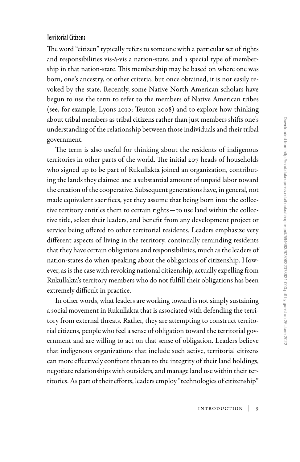# Territorial Citizens

The word "citizen" typically refers to someone with a particular set of rights and responsibilities vis-à-vis a nation-state, and a special type of membership in that nation-state. This membership may be based on where one was born, one's ancestry, or other criteria, but once obtained, it is not easily revoked by the state. Recently, some Native North American scholars have begun to use the term to refer to the members of Native American tribes (see, for example, Lyons 2010; Teuton 2008) and to explore how thinking about tribal members as tribal citizens rather than just members shifts one's understanding of the relationship between those individuals and their tribal government.

The term is also useful for thinking about the residents of indigenous territories in other parts of the world. The initial 207 heads of households who signed up to be part of Rukullakta joined an organization, contributing the lands they claimed and a substantial amount of unpaid labor toward the creation of the cooperative. Subsequent generations have, in general, not made equivalent sacrifices, yet they assume that being born into the collective territory entitles them to certain rights—to use land within the collective title, select their leaders, and benefit from any development project or service being offered to other territorial residents. Leaders emphasize very different aspects of living in the territory, continually reminding residents that they have certain obligations and responsibilities, much as the leaders of nation-states do when speaking about the obligations of citizenship. However, as is the case with revoking national citizenship, actually expelling from Rukullakta's territory members who do not fulfill their obligations has been extremely difficult in practice.

In other words, what leaders are working toward is not simply sustaining a social movement in Rukullakta that is associated with defending the territory from external threats. Rather, they are attempting to construct territorial citizens, people who feel a sense of obligation toward the territorial government and are willing to act on that sense of obligation. Leaders believe that indigenous organizations that include such active, territorial citizens can more effectively confront threats to the integrity of their land holdings, negotiate relationships with outsiders, and manage land use within their territories. As part of their efforts, leaders employ "technologies of citizenship"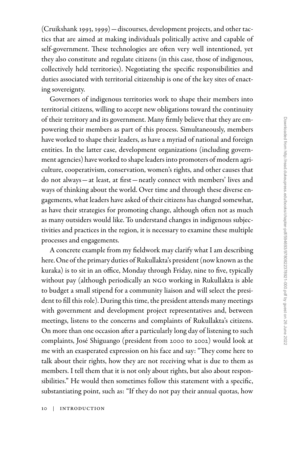(Cruikshank 1993, 1999)—discourses, development projects, and other tactics that are aimed at making individuals politically active and capable of self-government. These technologies are often very well intentioned, yet they also constitute and regulate citizens (in this case, those of indigenous, collectively held territories). Negotiating the specific responsibilities and duties associated with territorial citizenship is one of the key sites of enacting sovereignty.

Governors of indigenous territories work to shape their members into territorial citizens, willing to accept new obligations toward the continuity of their territory and its government. Many firmly believe that they are empowering their members as part of this process. Simultaneously, members have worked to shape their leaders, as have a myriad of national and foreign entities. In the latter case, development organizations (including government agencies) have worked to shape leaders into promoters of modern agriculture, cooperativism, conservation, women's rights, and other causes that do not always—at least, at first—neatly connect with members' lives and ways of thinking about the world. Over time and through these diverse engagements, what leaders have asked of their citizens has changed somewhat, as have their strategies for promoting change, although often not as much as many outsiders would like. To understand changes in indigenous subjectivities and practices in the region, it is necessary to examine these multiple processes and engagements.

A concrete example from my fieldwork may clarify what I am describing here. One of the primary duties of Rukullakta's president (now known as the kuraka) is to sit in an office, Monday through Friday, nine to five, typically without pay (although periodically an ngo working in Rukullakta is able to budget a small stipend for a community liaison and will select the president to fill this role). During this time, the president attends many meetings with government and development project representatives and, between meetings, listens to the concerns and complaints of Rukullakta's citizens. On more than one occasion after a particularly long day of listening to such complaints, José Shiguango (president from 2000 to 2002) would look at me with an exasperated expression on his face and say: "They come here to talk about their rights, how they are not receiving what is due to them as members. I tell them that it is not only about rights, but also about responsibilities." He would then sometimes follow this statement with a specific, substantiating point, such as: "If they do not pay their annual quotas, how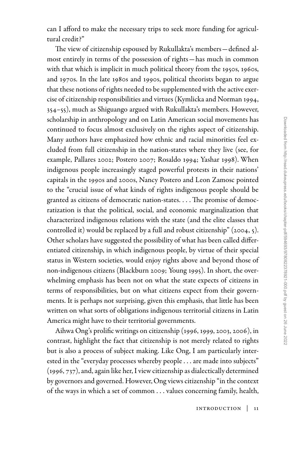can I afford to make the necessary trips to seek more funding for agricultural credit?"

The view of citizenship espoused by Rukullakta's members—defined almost entirely in terms of the possession of rights—has much in common with that which is implicit in much political theory from the 1950s, 1960s, and 1970s. In the late 1980s and 1990s, political theorists began to argue that these notions of rights needed to be supplemented with the active exercise of citizenship responsibilities and virtues (Kymlicka and Norman 1994, 354–55), much as Shiguango argued with Rukullakta's members. However, scholarship in anthropology and on Latin American social movements has continued to focus almost exclusively on the rights aspect of citizenship. Many authors have emphasized how ethnic and racial minorities feel excluded from full citizenship in the nation-states where they live (see, for example, Pallares 2002; Postero 2007; Rosaldo 1994; Yashar 1998). When indigenous people increasingly staged powerful protests in their nations' capitals in the 1990s and 2000s, Nancy Postero and Leon Zamosc pointed to the "crucial issue of what kinds of rights indigenous people should be granted as citizens of democratic nation-states. . . . The promise of democratization is that the political, social, and economic marginalization that characterized indigenous relations with the state (and the elite classes that controlled it) would be replaced by a full and robust citizenship" (2004, 5). Other scholars have suggested the possibility of what has been called differentiated citizenship, in which indigenous people, by virtue of their special status in Western societies, would enjoy rights above and beyond those of non-indigenous citizens (Blackburn 2009; Young 1995). In short, the overwhelming emphasis has been not on what the state expects of citizens in terms of responsibilities, but on what citizens expect from their governments. It is perhaps not surprising, given this emphasis, that little has been written on what sorts of obligations indigenous territorial citizens in Latin America might have to their territorial governments.

Aihwa Ong's prolific writings on citizenship (1996, 1999, 2003, 2006), in contrast, highlight the fact that citizenship is not merely related to rights but is also a process of subject making. Like Ong, I am particularly interested in the "everyday processes whereby people . . . are made into subjects" (1996, 737), and, again like her, I view citizenship as dialectically determined by governors and governed. However, Ong views citizenship "in the context of the ways in which a set of common . . . values concerning family, health,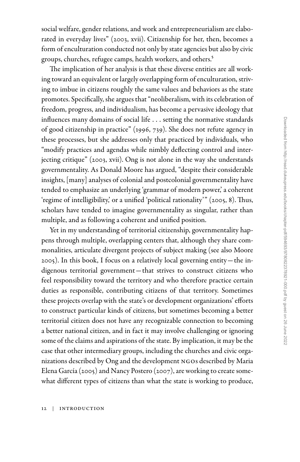social welfare, gender relations, and work and entrepreneurialism are elaborated in everyday lives" (2003, xvii). Citizenship for her, then, becomes a form of enculturation conducted not only by state agencies but also by civic groups, churches, refugee camps, health workers, and others.5

The implication of her analysis is that these diverse entities are all working toward an equivalent or largely overlapping form of enculturation, striving to imbue in citizens roughly the same values and behaviors as the state promotes. Specifically, she argues that "neoliberalism, with its celebration of freedom, progress, and individualism, has become a pervasive ideology that influences many domains of social life . . . setting the normative standards of good citizenship in practice" (1996, 739). She does not refute agency in these processes, but she addresses only that practiced by individuals, who "modify practices and agendas while nimbly deflecting control and interjecting critique" (2003, xvii). Ong is not alone in the way she understands governmentality. As Donald Moore has argued, "despite their considerable insights, [many] analyses of colonial and postcolonial governmentality have tended to emphasize an underlying 'grammar of modern power,' a coherent 'regime of intelligibility,' or a unified 'political rationality'" (2005, 8). Thus, scholars have tended to imagine governmentality as singular, rather than multiple, and as following a coherent and unified position.

Yet in my understanding of territorial citizenship, governmentality happens through multiple, overlapping centers that, although they share commonalities, articulate divergent projects of subject making (see also Moore 2005). In this book, I focus on a relatively local governing entity—the indigenous territorial government—that strives to construct citizens who feel responsibility toward the territory and who therefore practice certain duties as responsible, contributing citizens of that territory. Sometimes these projects overlap with the state's or development organizations' efforts to construct particular kinds of citizens, but sometimes becoming a better territorial citizen does not have any recognizable connection to becoming a better national citizen, and in fact it may involve challenging or ignoring some of the claims and aspirations of the state. By implication, it may be the case that other intermediary groups, including the churches and civic organizations described by Ong and the development ngos described by Maria Elena García (2005) and Nancy Postero (2007), are working to create somewhat different types of citizens than what the state is working to produce,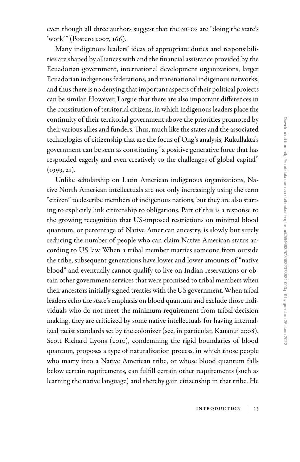even though all three authors suggest that the ngos are "doing the state's 'work'" (Postero 2007, 166).

Many indigenous leaders' ideas of appropriate duties and responsibilities are shaped by alliances with and the financial assistance provided by the Ecuadorian government, international development organizations, larger Ecuadorian indigenous federations, and transnational indigenous networks, and thus there is no denying that important aspects of their political projects can be similar. However, I argue that there are also important differences in the constitution of territorial citizens, in which indigenous leaders place the continuity of their territorial government above the priorities promoted by their various allies and funders. Thus, much like the states and the associated technologies of citizenship that are the focus of Ong's analysis, Rukullakta's government can be seen as constituting "a positive generative force that has responded eagerly and even creatively to the challenges of global capital"  $(1999, 21).$ 

Unlike scholarship on Latin American indigenous organizations, Native North American intellectuals are not only increasingly using the term "citizen" to describe members of indigenous nations, but they are also starting to explicitly link citizenship to obligations. Part of this is a response to the growing recognition that US-imposed restrictions on minimal blood quantum, or percentage of Native American ancestry, is slowly but surely reducing the number of people who can claim Native American status according to US law. When a tribal member marries someone from outside the tribe, subsequent generations have lower and lower amounts of "native blood" and eventually cannot qualify to live on Indian reservations or obtain other government services that were promised to tribal members when their ancestors initially signed treaties with the US government. When tribal leaders echo the state's emphasis on blood quantum and exclude those individuals who do not meet the minimum requirement from tribal decision making, they are criticized by some native intellectuals for having internalized racist standards set by the colonizer (see, in particular, Kauanui 2008). Scott Richard Lyons (2010), condemning the rigid boundaries of blood quantum, proposes a type of naturalization process, in which those people who marry into a Native American tribe, or whose blood quantum falls below certain requirements, can fulfill certain other requirements (such as learning the native language) and thereby gain citizenship in that tribe. He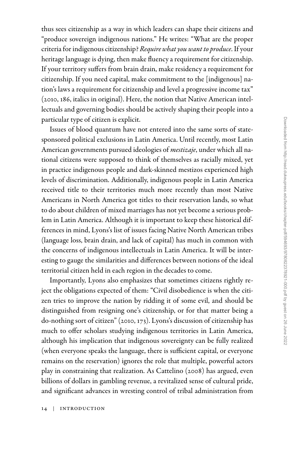thus sees citizenship as a way in which leaders can shape their citizens and "produce sovereign indigenous nations." He writes: "What are the proper criteria for indigenous citizenship? *Require what you want to produce*. If your heritage language is dying, then make fluency a requirement for citizenship. If your territory suffers from brain drain, make residency a requirement for citizenship. If you need capital, make commitment to the [indigenous] nation's laws a requirement for citizenship and level a progressive income tax" (2010, 186, italics in original). Here, the notion that Native American intellectuals and governing bodies should be actively shaping their people into a particular type of citizen is explicit.

Issues of blood quantum have not entered into the same sorts of statesponsored political exclusions in Latin America. Until recently, most Latin American governments pursued ideologies of *mestizaje*, under which all national citizens were supposed to think of themselves as racially mixed, yet in practice indigenous people and dark-skinned mestizos experienced high levels of discrimination. Additionally, indigenous people in Latin America received title to their territories much more recently than most Native Americans in North America got titles to their reservation lands, so what to do about children of mixed marriages has not yet become a serious problem in Latin America. Although it is important to keep these historical differences in mind, Lyons's list of issues facing Native North American tribes (language loss, brain drain, and lack of capital) has much in common with the concerns of indigenous intellectuals in Latin America. It will be interesting to gauge the similarities and differences between notions of the ideal territorial citizen held in each region in the decades to come.

Importantly, Lyons also emphasizes that sometimes citizens rightly reject the obligations expected of them: "Civil disobedience is when the citizen tries to improve the nation by ridding it of some evil, and should be distinguished from resigning one's citizenship, or for that matter being a do-nothing sort of citizen" (2010, 173). Lyons's discussion of citizenship has much to offer scholars studying indigenous territories in Latin America, although his implication that indigenous sovereignty can be fully realized (when everyone speaks the language, there is sufficient capital, or everyone remains on the reservation) ignores the role that multiple, powerful actors play in constraining that realization. As Cattelino (2008) has argued, even billions of dollars in gambling revenue, a revitalized sense of cultural pride, and significant advances in wresting control of tribal administration from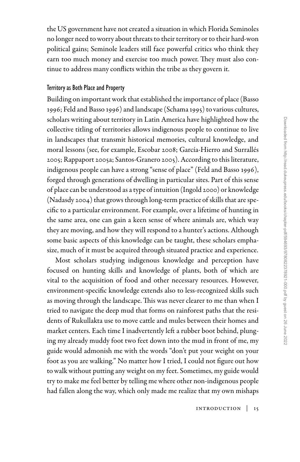the US government have not created a situation in which Florida Seminoles no longer need to worry about threats to their territory or to their hard-won political gains; Seminole leaders still face powerful critics who think they earn too much money and exercise too much power. They must also continue to address many conflicts within the tribe as they govern it.

### Territory as Both Place and Property

Building on important work that established the importance of place (Basso 1996; Feld and Basso 1996) and landscape (Schama 1995) to various cultures, scholars writing about territory in Latin America have highlighted how the collective titling of territories allows indigenous people to continue to live in landscapes that transmit historical memories, cultural knowledge, and moral lessons (see, for example, Escobar 2008; García-Hierro and Surrallés 2005; Rappaport 2005a; Santos-Granero 2005). According to this literature, indigenous people can have a strong "sense of place" (Feld and Basso 1996), forged through generations of dwelling in particular sites. Part of this sense of place can be understood as a type of intuition (Ingold 2000) or knowledge (Nadasdy 2004) that grows through long-term practice of skills that are specific to a particular environment. For example, over a lifetime of hunting in the same area, one can gain a keen sense of where animals are, which way they are moving, and how they will respond to a hunter's actions. Although some basic aspects of this knowledge can be taught, these scholars emphasize, much of it must be acquired through situated practice and experience.

Most scholars studying indigenous knowledge and perception have focused on hunting skills and knowledge of plants, both of which are vital to the acquisition of food and other necessary resources. However, environment-specific knowledge extends also to less-recognized skills such as moving through the landscape. This was never clearer to me than when I tried to navigate the deep mud that forms on rainforest paths that the residents of Rukullakta use to move cattle and mules between their homes and market centers. Each time I inadvertently left a rubber boot behind, plunging my already muddy foot two feet down into the mud in front of me, my guide would admonish me with the words "don't put your weight on your foot as you are walking." No matter how I tried, I could not figure out how to walk without putting any weight on my feet. Sometimes, my guide would try to make me feel better by telling me where other non-indigenous people had fallen along the way, which only made me realize that my own mishaps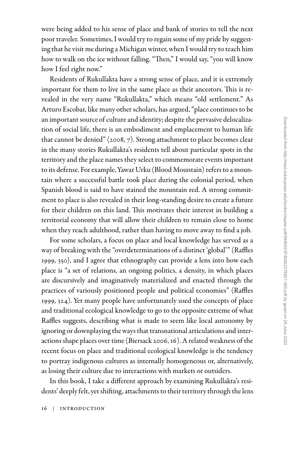were being added to his sense of place and bank of stories to tell the next poor traveler. Sometimes, I would try to regain some of my pride by suggesting that he visit me during a Michigan winter, when I would try to teach him how to walk on the ice without falling. "Then," I would say, "you will know how I feel right now."

Residents of Rukullakta have a strong sense of place, and it is extremely important for them to live in the same place as their ancestors. This is revealed in the very name "Rukullakta," which means "old settlement." As Arturo Escobar, like many other scholars, has argued, "place continues to be an important source of culture and identity; despite the pervasive delocalization of social life, there is an embodiment and emplacement to human life that cannot be denied" (2008, 7). Strong attachment to place becomes clear in the many stories Rukullakta's residents tell about particular spots in the territory and the place names they select to commemorate events important to its defense. For example, Yawar Urku (Blood Mountain) refers to a mountain where a successful battle took place during the colonial period, when Spanish blood is said to have stained the mountain red. A strong commitment to place is also revealed in their long-standing desire to create a future for their children on this land. This motivates their interest in building a territorial economy that will allow their children to remain close to home when they reach adulthood, rather than having to move away to find a job.

For some scholars, a focus on place and local knowledge has served as a way of breaking with the "overdeterminations of a distinct 'global'" (Raffles 1999, 350), and I agree that ethnography can provide a lens into how each place is "a set of relations, an ongoing politics, a density, in which places are discursively and imaginatively materialized and enacted through the practices of variously positioned people and political economies" (Raffles 1999, 324). Yet many people have unfortunately used the concepts of place and traditional ecological knowledge to go to the opposite extreme of what Raffles suggests, describing what is made to seem like local autonomy by ignoring or downplaying the ways that transnational articulations and interactions shape places over time (Biersack 2006, 16). A related weakness of the recent focus on place and traditional ecological knowledge is the tendency to portray indigenous cultures as internally homogeneous or, alternatively, as losing their culture due to interactions with markets or outsiders.

In this book, I take a different approach by examining Rukullakta's residents' deeply felt, yet shifting, attachments to their territory through the lens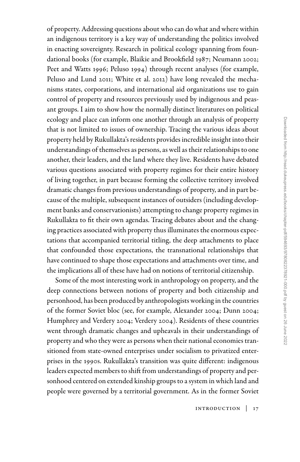of property. Addressing questions about who can do what and where within an indigenous territory is a key way of understanding the politics involved in enacting sovereignty. Research in political ecology spanning from foundational books (for example, Blaikie and Brookfield 1987; Neumann 2002; Peet and Watts 1996; Peluso 1994) through recent analyses (for example, Peluso and Lund 2011; White et al. 2012) have long revealed the mechanisms states, corporations, and international aid organizations use to gain control of property and resources previously used by indigenous and peasant groups. I aim to show how the normally distinct literatures on political ecology and place can inform one another through an analysis of property that is not limited to issues of ownership. Tracing the various ideas about property held by Rukullakta's residents provides incredible insight into their understandings of themselves as persons, as well as their relationships to one another, their leaders, and the land where they live. Residents have debated various questions associated with property regimes for their entire history of living together, in part because forming the collective territory involved dramatic changes from previous understandings of property, and in part because of the multiple, subsequent instances of outsiders (including development banks and conservationists) attempting to change property regimes in Rukullakta to fit their own agendas. Tracing debates about and the changing practices associated with property thus illuminates the enormous expectations that accompanied territorial titling, the deep attachments to place that confounded those expectations, the transnational relationships that have continued to shape those expectations and attachments over time, and the implications all of these have had on notions of territorial citizenship.

Some of the most interesting work in anthropology on property, and the deep connections between notions of property and both citizenship and personhood, has been produced by anthropologists working in the countries of the former Soviet bloc (see, for example, Alexander 2004; Dunn 2004; Humphrey and Verdery 2004; Verdery 2004). Residents of these countries went through dramatic changes and upheavals in their understandings of property and who they were as persons when their national economies transitioned from state-owned enterprises under socialism to privatized enterprises in the 1990s. Rukullakta's transition was quite different: indigenous leaders expected members to shift from understandings of property and personhood centered on extended kinship groups to a system in which land and people were governed by a territorial government. As in the former Soviet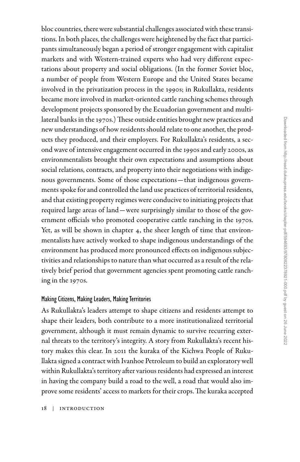bloc countries, there were substantial challenges associated with these transitions. In both places, the challenges were heightened by the fact that participants simultaneously began a period of stronger engagement with capitalist markets and with Western-trained experts who had very different expectations about property and social obligations. (In the former Soviet bloc, a number of people from Western Europe and the United States became involved in the privatization process in the 1990s; in Rukullakta, residents became more involved in market-oriented cattle ranching schemes through development projects sponsored by the Ecuadorian government and multilateral banks in the 1970s.) These outside entities brought new practices and new understandings of how residents should relate to one another, the products they produced, and their employers. For Rukullakta's residents, a second wave of intensive engagement occurred in the 1990s and early 2000s, as environmentalists brought their own expectations and assumptions about social relations, contracts, and property into their negotiations with indigenous governments. Some of those expectations—that indigenous governments spoke for and controlled the land use practices of territorial residents, and that existing property regimes were conducive to initiating projects that required large areas of land—were surprisingly similar to those of the government officials who promoted cooperative cattle ranching in the 1970s. Yet, as will be shown in chapter 4, the sheer length of time that environmentalists have actively worked to shape indigenous understandings of the environment has produced more pronounced effects on indigenous subjectivities and relationships to nature than what occurred as a result of the relatively brief period that government agencies spent promoting cattle ranching in the 1970s.

## Making Citizens, Making Leaders, Making Territories

As Rukullakta's leaders attempt to shape citizens and residents attempt to shape their leaders, both contribute to a more institutionalized territorial government, although it must remain dynamic to survive recurring external threats to the territory's integrity. A story from Rukullakta's recent history makes this clear. In 2011 the kuraka of the Kichwa People of Rukullakta signed a contract with Ivanhoe Petroleum to build an exploratory well within Rukullakta's territory after various residents had expressed an interest in having the company build a road to the well, a road that would also improve some residents' access to markets for their crops. The kuraka accepted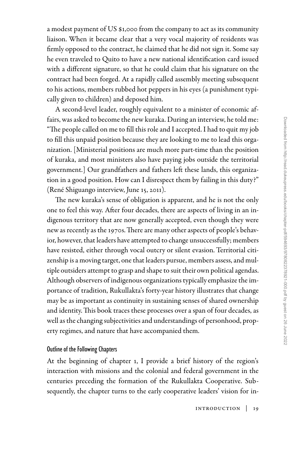a modest payment of US \$1,000 from the company to act as its community liaison. When it became clear that a very vocal majority of residents was firmly opposed to the contract, he claimed that he did not sign it. Some say he even traveled to Quito to have a new national identification card issued with a different signature, so that he could claim that his signature on the contract had been forged. At a rapidly called assembly meeting subsequent to his actions, members rubbed hot peppers in his eyes (a punishment typically given to children) and deposed him.

A second-level leader, roughly equivalent to a minister of economic affairs, was asked to become the new kuraka. During an interview, he told me: "The people called on me to fill this role and I accepted. I had to quit my job to fill this unpaid position because they are looking to me to lead this organization. [Ministerial positions are much more part-time than the position of kuraka, and most ministers also have paying jobs outside the territorial government.] Our grandfathers and fathers left these lands, this organization in a good position. How can I disrespect them by failing in this duty?" (René Shiguango interview, June 15, 2011).

The new kuraka's sense of obligation is apparent, and he is not the only one to feel this way. After four decades, there are aspects of living in an indigenous territory that are now generally accepted, even though they were new as recently as the 1970s. There are many other aspects of people's behavior, however, that leaders have attempted to change unsuccessfully; members have resisted, either through vocal outcry or silent evasion. Territorial citizenship is a moving target, one that leaders pursue, members assess, and multiple outsiders attempt to grasp and shape to suit their own political agendas. Although observers of indigenous organizations typically emphasize the importance of tradition, Rukullakta's forty-year history illustrates that change may be as important as continuity in sustaining senses of shared ownership and identity. This book traces these processes over a span of four decades, as well as the changing subjectivities and understandings of personhood, property regimes, and nature that have accompanied them.

#### Outline of the Following Chapters

At the beginning of chapter 1, I provide a brief history of the region's interaction with missions and the colonial and federal government in the centuries preceding the formation of the Rukullakta Cooperative. Subsequently, the chapter turns to the early cooperative leaders' vision for in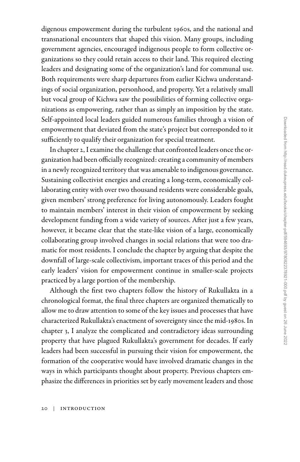digenous empowerment during the turbulent 1960s, and the national and transnational encounters that shaped this vision. Many groups, including government agencies, encouraged indigenous people to form collective organizations so they could retain access to their land. This required electing leaders and designating some of the organization's land for communal use. Both requirements were sharp departures from earlier Kichwa understandings of social organization, personhood, and property. Yet a relatively small but vocal group of Kichwa saw the possibilities of forming collective organizations as empowering, rather than as simply an imposition by the state. Self-appointed local leaders guided numerous families through a vision of empowerment that deviated from the state's project but corresponded to it sufficiently to qualify their organization for special treatment.

In chapter 2, I examine the challenge that confronted leaders once the organization had been officially recognized: creating a community of members in a newly recognized territory that was amenable to indigenous governance. Sustaining collectivist energies and creating a long-term, economically collaborating entity with over two thousand residents were considerable goals, given members' strong preference for living autonomously. Leaders fought to maintain members' interest in their vision of empowerment by seeking development funding from a wide variety of sources. After just a few years, however, it became clear that the state-like vision of a large, economically collaborating group involved changes in social relations that were too dramatic for most residents. I conclude the chapter by arguing that despite the downfall of large-scale collectivism, important traces of this period and the early leaders' vision for empowerment continue in smaller-scale projects practiced by a large portion of the membership.

Although the first two chapters follow the history of Rukullakta in a chronological format, the final three chapters are organized thematically to allow me to draw attention to some of the key issues and processes that have characterized Rukullakta's enactment of sovereignty since the mid-1980s. In chapter 3, I analyze the complicated and contradictory ideas surrounding property that have plagued Rukullakta's government for decades. If early leaders had been successful in pursuing their vision for empowerment, the formation of the cooperative would have involved dramatic changes in the ways in which participants thought about property. Previous chapters emphasize the differences in priorities set by early movement leaders and those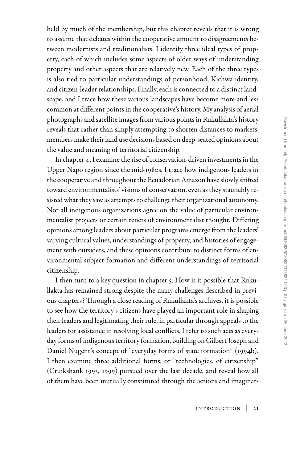held by much of the membership, but this chapter reveals that it is wrong to assume that debates within the cooperative amount to disagreements between modernists and traditionalists. I identify three ideal types of property, each of which includes some aspects of older ways of understanding property and other aspects that are relatively new. Each of the three types is also tied to particular understandings of personhood, Kichwa identity, and citizen-leader relationships. Finally, each is connected to a distinct landscape, and I trace how these various landscapes have become more and less common at different points in the cooperative's history. My analysis of aerial photographs and satellite images from various points in Rukullakta's history reveals that rather than simply attempting to shorten distances to markets, members make their land use decisions based on deep-seated opinions about the value and meaning of territorial citizenship.

In chapter 4, I examine the rise of conservation-driven investments in the Upper Napo region since the mid-1980s. I trace how indigenous leaders in the cooperative and throughout the Ecuadorian Amazon have slowly shifted toward environmentalists' visions of conservation, even as they staunchly resisted what they saw as attempts to challenge their organizational autonomy. Not all indigenous organizations agree on the value of particular environmentalist projects or certain tenets of environmentalist thought. Differing opinions among leaders about particular programs emerge from the leaders' varying cultural values, understandings of property, and histories of engagement with outsiders, and these opinions contribute to distinct forms of environmental subject formation and different understandings of territorial citizenship.

I then turn to a key question in chapter 5. How is it possible that Rukullakta has remained strong despite the many challenges described in previous chapters? Through a close reading of Rukullakta's archives, it is possible to see how the territory's citizens have played an important role in shaping their leaders and legitimating their rule, in particular through appeals to the leaders for assistance in resolving local conflicts. I refer to such acts as everyday forms of indigenous territory formation, building on Gilbert Joseph and Daniel Nugent's concept of "everyday forms of state formation" (1994b). I then examine three additional forms, or "technologies. of citizenship" (Cruikshank 1993, 1999) pursued over the last decade, and reveal how all of them have been mutually constituted through the actions and imaginar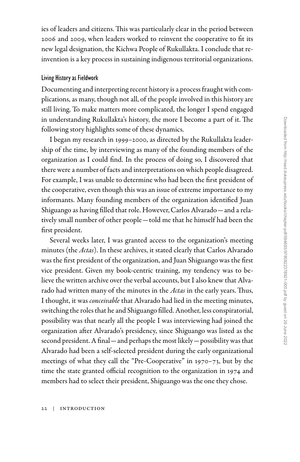ies of leaders and citizens. This was particularly clear in the period between 2006 and 2009, when leaders worked to reinvent the cooperative to fit its new legal designation, the Kichwa People of Rukullakta. I conclude that reinvention is a key process in sustaining indigenous territorial organizations.

#### Living History as Fieldwork

Documenting and interpreting recent history is a process fraught with complications, as many, though not all, of the people involved in this history are still living. To make matters more complicated, the longer I spend engaged in understanding Rukullakta's history, the more I become a part of it. The following story highlights some of these dynamics.

I began my research in 1999–2000, as directed by the Rukullakta leadership of the time, by interviewing as many of the founding members of the organization as I could find. In the process of doing so, I discovered that there were a number of facts and interpretations on which people disagreed. For example, I was unable to determine who had been the first president of the cooperative, even though this was an issue of extreme importance to my informants. Many founding members of the organization identified Juan Shiguango as having filled that role. However, Carlos Alvarado—and a relatively small number of other people—told me that he himself had been the first president.

Several weeks later, I was granted access to the organization's meeting minutes (the *Actas*). In these archives, it stated clearly that Carlos Alvarado was the first president of the organization, and Juan Shiguango was the first vice president. Given my book-centric training, my tendency was to believe the written archive over the verbal accounts, but I also knew that Alvarado had written many of the minutes in the *Actas* in the early years. Thus, I thought, it was *conceivable* that Alvarado had lied in the meeting minutes, switching the roles that he and Shiguango filled. Another, less conspiratorial, possibility was that nearly all the people I was interviewing had joined the organization after Alvarado's presidency, since Shiguango was listed as the second president. A final—and perhaps the most likely—possibility was that Alvarado had been a self-selected president during the early organizational meetings of what they call the "Pre-Cooperative" in 1970–73, but by the time the state granted official recognition to the organization in 1974 and members had to select their president, Shiguango was the one they chose.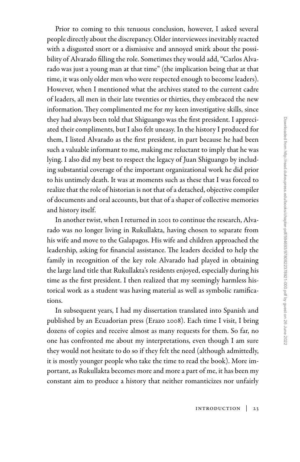Prior to coming to this tenuous conclusion, however, I asked several people directly about the discrepancy. Older interviewees inevitably reacted with a disgusted snort or a dismissive and annoyed smirk about the possibility of Alvarado filling the role. Sometimes they would add, "Carlos Alvarado was just a young man at that time" (the implication being that at that time, it was only older men who were respected enough to become leaders). However, when I mentioned what the archives stated to the current cadre of leaders, all men in their late twenties or thirties, they embraced the new information. They complimented me for my keen investigative skills, since they had always been told that Shiguango was the first president. I appreciated their compliments, but I also felt uneasy. In the history I produced for them, I listed Alvarado as the first president, in part because he had been such a valuable informant to me, making me reluctant to imply that he was lying. I also did my best to respect the legacy of Juan Shiguango by including substantial coverage of the important organizational work he did prior to his untimely death. It was at moments such as these that I was forced to realize that the role of historian is not that of a detached, objective compiler of documents and oral accounts, but that of a shaper of collective memories and history itself.

In another twist, when I returned in 2001 to continue the research, Alvarado was no longer living in Rukullakta, having chosen to separate from his wife and move to the Galapagos. His wife and children approached the leadership, asking for financial assistance. The leaders decided to help the family in recognition of the key role Alvarado had played in obtaining the large land title that Rukullakta's residents enjoyed, especially during his time as the first president. I then realized that my seemingly harmless historical work as a student was having material as well as symbolic ramifications.

In subsequent years, I had my dissertation translated into Spanish and published by an Ecuadorian press (Erazo 2008). Each time I visit, I bring dozens of copies and receive almost as many requests for them. So far, no one has confronted me about my interpretations, even though I am sure they would not hesitate to do so if they felt the need (although admittedly, it is mostly younger people who take the time to read the book). More important, as Rukullakta becomes more and more a part of me, it has been my constant aim to produce a history that neither romanticizes nor unfairly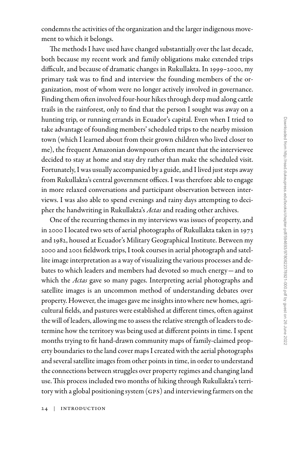condemns the activities of the organization and the larger indigenous movement to which it belongs.

The methods I have used have changed substantially over the last decade, both because my recent work and family obligations make extended trips difficult, and because of dramatic changes in Rukullakta. In 1999–2000, my primary task was to find and interview the founding members of the organization, most of whom were no longer actively involved in governance. Finding them often involved four-hour hikes through deep mud along cattle trails in the rainforest, only to find that the person I sought was away on a hunting trip, or running errands in Ecuador's capital. Even when I tried to take advantage of founding members' scheduled trips to the nearby mission town (which I learned about from their grown children who lived closer to me), the frequent Amazonian downpours often meant that the interviewee decided to stay at home and stay dry rather than make the scheduled visit. Fortunately, I was usually accompanied by a guide, and I lived just steps away from Rukullakta's central government offices. I was therefore able to engage in more relaxed conversations and participant observation between interviews. I was also able to spend evenings and rainy days attempting to decipher the handwriting in Rukullakta's *Actas* and reading other archives.

One of the recurring themes in my interviews was issues of property, and in 2000 I located two sets of aerial photographs of Rukullakta taken in 1973 and 1982, housed at Ecuador's Military Geographical Institute. Between my 2000 and 2001 fieldwork trips, I took courses in aerial photograph and satellite image interpretation as a way of visualizing the various processes and debates to which leaders and members had devoted so much energy—and to which the *Actas* gave so many pages. Interpreting aerial photographs and satellite images is an uncommon method of understanding debates over property. However, the images gave me insights into where new homes, agricultural fields, and pastures were established at different times, often against the will of leaders, allowing me to assess the relative strength of leaders to determine how the territory was being used at different points in time. I spent months trying to fit hand-drawn community maps of family-claimed property boundaries to the land cover maps I created with the aerial photographs and several satellite images from other points in time, in order to understand the connections between struggles over property regimes and changing land use. This process included two months of hiking through Rukullakta's territory with a global positioning system (gps) and interviewing farmers on the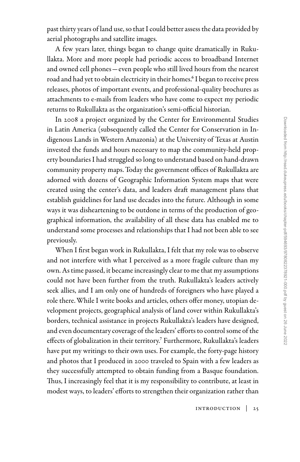past thirty years of land use, so that I could better assess the data provided by aerial photographs and satellite images.

A few years later, things began to change quite dramatically in Rukullakta. More and more people had periodic access to broadband Internet and owned cell phones—even people who still lived hours from the nearest road and had yet to obtain electricity in their homes.<sup>6</sup> I began to receive press releases, photos of important events, and professional-quality brochures as attachments to e-mails from leaders who have come to expect my periodic returns to Rukullakta as the organization's semi-official historian.

In 2008 a project organized by the Center for Environmental Studies in Latin America (subsequently called the Center for Conservation in Indigenous Lands in Western Amazonia) at the University of Texas at Austin invested the funds and hours necessary to map the community-held property boundaries I had struggled so long to understand based on hand-drawn community property maps. Today the government offices of Rukullakta are adorned with dozens of Geographic Information System maps that were created using the center's data, and leaders draft management plans that establish guidelines for land use decades into the future. Although in some ways it was disheartening to be outdone in terms of the production of geographical information, the availability of all these data has enabled me to understand some processes and relationships that I had not been able to see previously.

When I first began work in Rukullakta, I felt that my role was to observe and not interfere with what I perceived as a more fragile culture than my own. As time passed, it became increasingly clear to me that my assumptions could not have been further from the truth. Rukullakta's leaders actively seek allies, and I am only one of hundreds of foreigners who have played a role there. While I write books and articles, others offer money, utopian development projects, geographical analysis of land cover within Rukullakta's borders, technical assistance in projects Rukullakta's leaders have designed, and even documentary coverage of the leaders' efforts to control some of the effects of globalization in their territory.<sup>7</sup> Furthermore, Rukullakta's leaders have put my writings to their own uses. For example, the forty-page history and photos that I produced in 2000 traveled to Spain with a few leaders as they successfully attempted to obtain funding from a Basque foundation. Thus, I increasingly feel that it is my responsibility to contribute, at least in modest ways, to leaders' efforts to strengthen their organization rather than